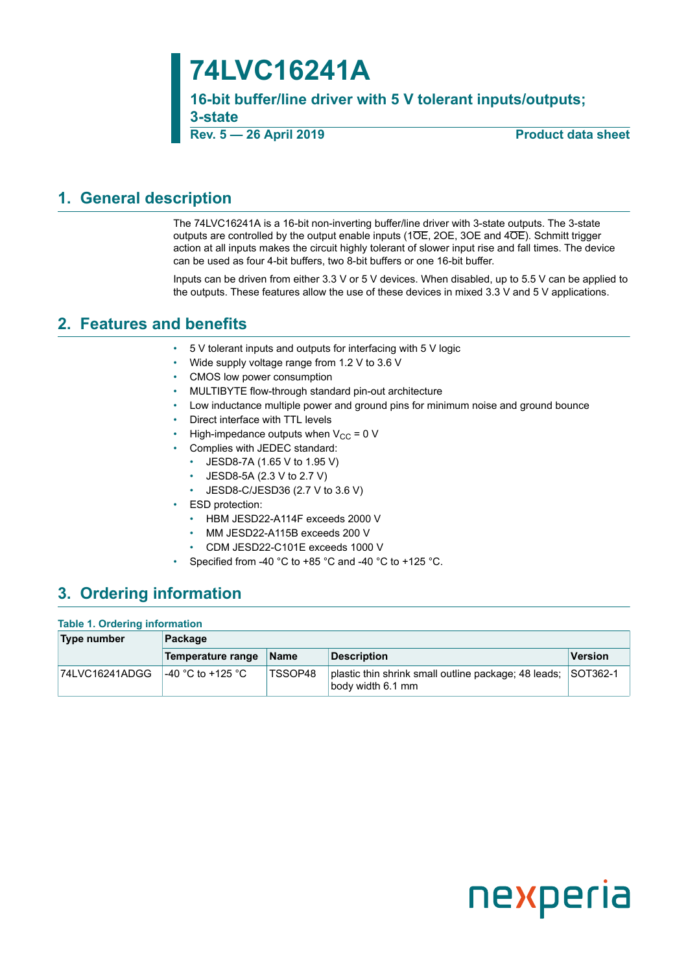# **74LVC16241A**

**16-bit buffer/line driver with 5 V tolerant inputs/outputs; 3-state**

**Rev. 5 — 26 April 2019 Product data sheet**

## <span id="page-0-0"></span>**1. General description**

The 74LVC16241A is a 16-bit non-inverting buffer/line driver with 3-state outputs. The 3-state outputs are controlled by the output enable inputs (1OE, 2OE, 3OE and 4OE). Schmitt trigger action at all inputs makes the circuit highly tolerant of slower input rise and fall times. The device can be used as four 4-bit buffers, two 8-bit buffers or one 16-bit buffer.

Inputs can be driven from either 3.3 V or 5 V devices. When disabled, up to 5.5 V can be applied to the outputs. These features allow the use of these devices in mixed 3.3 V and 5 V applications.

## <span id="page-0-1"></span>**2. Features and benefits**

- 5 V tolerant inputs and outputs for interfacing with 5 V logic
- Wide supply voltage range from 1.2 V to 3.6 V
- CMOS low power consumption
- MULTIBYTE flow-through standard pin-out architecture
- Low inductance multiple power and ground pins for minimum noise and ground bounce
- Direct interface with TTL levels
- High-impedance outputs when  $V_{CC} = 0$  V
- Complies with JEDEC standard:
	- JESD8-7A (1.65 V to 1.95 V)
	- JESD8-5A (2.3 V to 2.7 V)
	- JESD8-C/JESD36 (2.7 V to 3.6 V)
- ESD protection:
	- HBM JESD22-A114F exceeds 2000 V
	- MM JESD22-A115B exceeds 200 V
	- CDM JESD22-C101E exceeds 1000 V
- Specified from -40 °C to +85 °C and -40 °C to +125 °C.

## <span id="page-0-2"></span>**3. Ordering information**

#### **Table 1. Ordering information**

| Type number    | Package            |                |                                                                                    |                |  |  |
|----------------|--------------------|----------------|------------------------------------------------------------------------------------|----------------|--|--|
|                | Temperature range  | <b>Name</b>    | <b>Description</b>                                                                 | <b>Version</b> |  |  |
| 74LVC16241ADGG | l-40 °C to +125 °C | <b>TSSOP48</b> | plastic thin shrink small outline package; 48 leads; SOT362-1<br>body width 6.1 mm |                |  |  |

# nexperia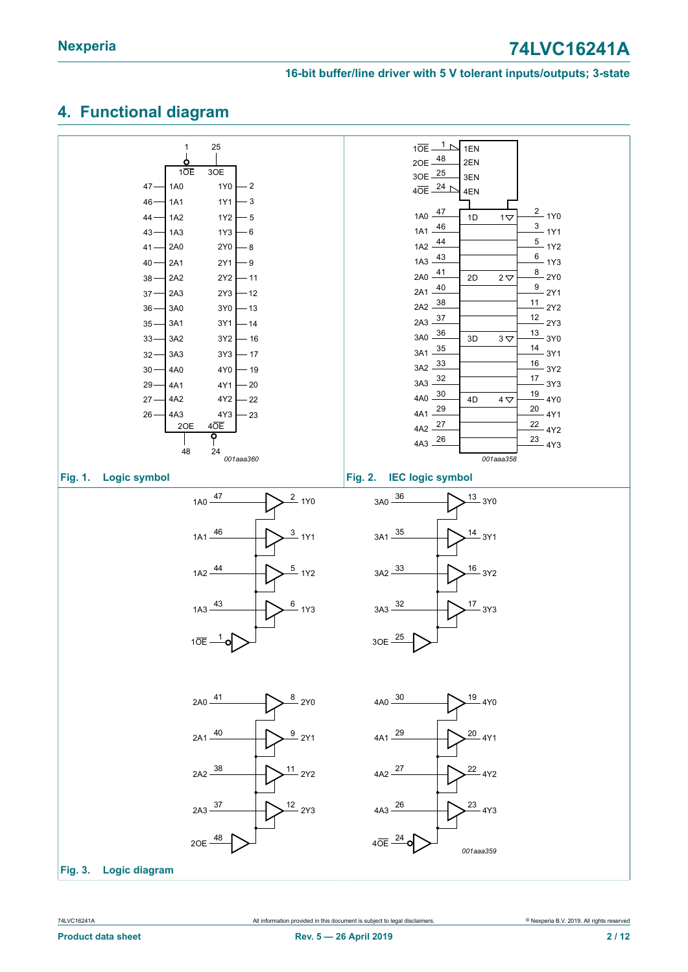## <span id="page-1-0"></span>**4. Functional diagram**

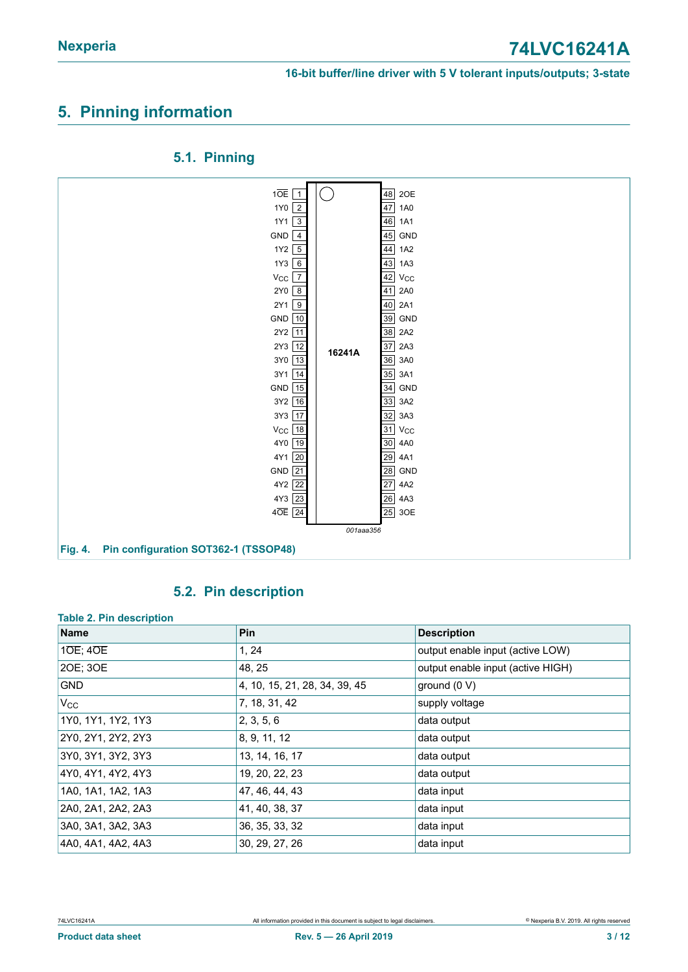## <span id="page-2-0"></span>**5. Pinning information**



#### <span id="page-2-1"></span>**5.1. Pinning**

### <span id="page-2-2"></span>**5.2. Pin description**

#### **Table 2. Pin description**

| Name               | Pin                           | <b>Description</b>                |
|--------------------|-------------------------------|-----------------------------------|
| $10E$ ; $40E$      | 1, 24                         | output enable input (active LOW)  |
| 20E; 30E           | 48, 25                        | output enable input (active HIGH) |
| <b>GND</b>         | 4, 10, 15, 21, 28, 34, 39, 45 | ground $(0 V)$                    |
| $V_{\rm CC}$       | 7, 18, 31, 42                 | supply voltage                    |
| 1Y0, 1Y1, 1Y2, 1Y3 | 2, 3, 5, 6                    | data output                       |
| 2Y0, 2Y1, 2Y2, 2Y3 | 8, 9, 11, 12                  | data output                       |
| 3Y0, 3Y1, 3Y2, 3Y3 | 13, 14, 16, 17                | data output                       |
| 4Y0, 4Y1, 4Y2, 4Y3 | 19, 20, 22, 23                | data output                       |
| 1A0, 1A1, 1A2, 1A3 | 47, 46, 44, 43                | data input                        |
| 2A0, 2A1, 2A2, 2A3 | 41, 40, 38, 37                | data input                        |
| 3A0, 3A1, 3A2, 3A3 | 36, 35, 33, 32                | data input                        |
| 4A0, 4A1, 4A2, 4A3 | 30, 29, 27, 26                | data input                        |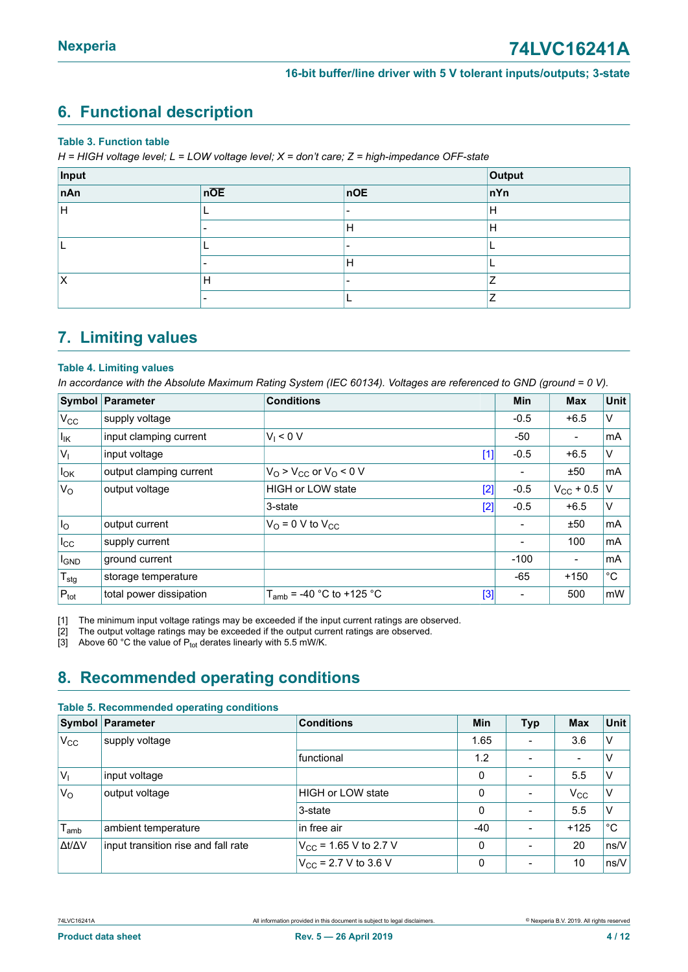## <span id="page-3-3"></span><span id="page-3-0"></span>**6. Functional description**

#### **Table 3. Function table**

*H = HIGH voltage level; L = LOW voltage level; X = don't care; Z = high-impedance OFF-state*

| Input | Output |     |     |
|-------|--------|-----|-----|
| nAn   | nOE    | noE | nYn |
| lн    |        | -   | Н   |
|       |        | Н   | H   |
|       |        | -   |     |
|       |        | H   |     |
| х     | Н      | -   | -   |
|       |        |     | ⇁   |

## <span id="page-3-4"></span>**7. Limiting values**

#### <span id="page-3-1"></span>**Table 4. Limiting values**

In accordance with the Absolute Maximum Rating System (IEC 60134). Voltages are referenced to GND (ground = 0 V).

|                  | Symbol Parameter        | <b>Conditions</b>                      | <b>Min</b>               | <b>Max</b>               | <b>Unit</b> |
|------------------|-------------------------|----------------------------------------|--------------------------|--------------------------|-------------|
| $V_{\rm CC}$     | supply voltage          |                                        | $-0.5$                   | $+6.5$                   | V           |
| $I_{IK}$         | input clamping current  | $V_1 < 0 V$                            | -50                      | $\overline{a}$           | mA          |
| $ V_1 $          | input voltage           | $[1]$                                  | $-0.5$                   | $+6.5$                   | V           |
| $I_{OK}$         | output clamping current | $V_O$ > $V_{CC}$ or $V_O$ < 0 V        | $\overline{\phantom{a}}$ | ±50                      | mA          |
| $V_{\rm O}$      | output voltage          | HIGH or LOW state<br>$[2]$             | $-0.5$                   | $V_{CC}$ + 0.5           | V           |
|                  |                         | $[2]$<br>3-state                       | $-0.5$                   | $+6.5$                   | V           |
| I <sub>O</sub>   | output current          | $V_{\Omega}$ = 0 V to $V_{\text{CC}}$  | $\overline{\phantom{a}}$ | ±50                      | mA          |
| $I_{\rm CC}$     | supply current          |                                        | $\overline{\phantom{a}}$ | 100                      | mA          |
| IGND             | ground current          |                                        | $-100$                   | $\overline{\phantom{0}}$ | mA          |
| $T_{\text{stg}}$ | storage temperature     |                                        | $-65$                    | $+150$                   | $^{\circ}C$ |
| $P_{\text{tot}}$ | total power dissipation | $T_{amb}$ = -40 °C to +125 °C<br>$[3]$ | ۰                        | 500                      | mW          |

[1] The minimum input voltage ratings may be exceeded if the input current ratings are observed.<br>[2] The output voltage ratings may be exceeded if the output current ratings are observed.

The output voltage ratings may be exceeded if the output current ratings are observed.

[3] Above 60 °C the value of  $P_{tot}$  derates linearly with 5.5 mW/K.

## <span id="page-3-5"></span>**8. Recommended operating conditions**

#### <span id="page-3-2"></span>**Table 5. Recommended operating conditions**

|                | <b>Symbol Parameter</b>             | <b>Conditions</b>                 | Min   | <b>Typ</b>               | <b>Max</b>   | Unit          |
|----------------|-------------------------------------|-----------------------------------|-------|--------------------------|--------------|---------------|
| $V_{\rm CC}$   | supply voltage                      |                                   | 1.65  |                          | 3.6          | V             |
|                |                                     | functional                        | 1.2   | $\overline{\phantom{0}}$ |              | ν             |
| V <sub>1</sub> | input voltage                       |                                   | 0     | ۰                        | 5.5          | V             |
| $V_{\rm O}$    | output voltage                      | <b>HIGH or LOW state</b>          | 0     | $\overline{\phantom{0}}$ | $V_{\rm CC}$ | ΙV            |
|                |                                     | 3-state                           | 0     | ۰                        | 5.5          | V             |
| $T_{\sf amb}$  | ambient temperature                 | in free air                       | $-40$ |                          | $+125$       | $^{\circ}C$   |
| <b>Δt/ΔV</b>   | input transition rise and fall rate | $V_{\text{CC}}$ = 1.65 V to 2.7 V | 0     |                          | 20           | $\sqrt{ns/V}$ |
|                |                                     | $V_{CC}$ = 2.7 V to 3.6 V         | 0     | ٠                        | 10           | ns/V          |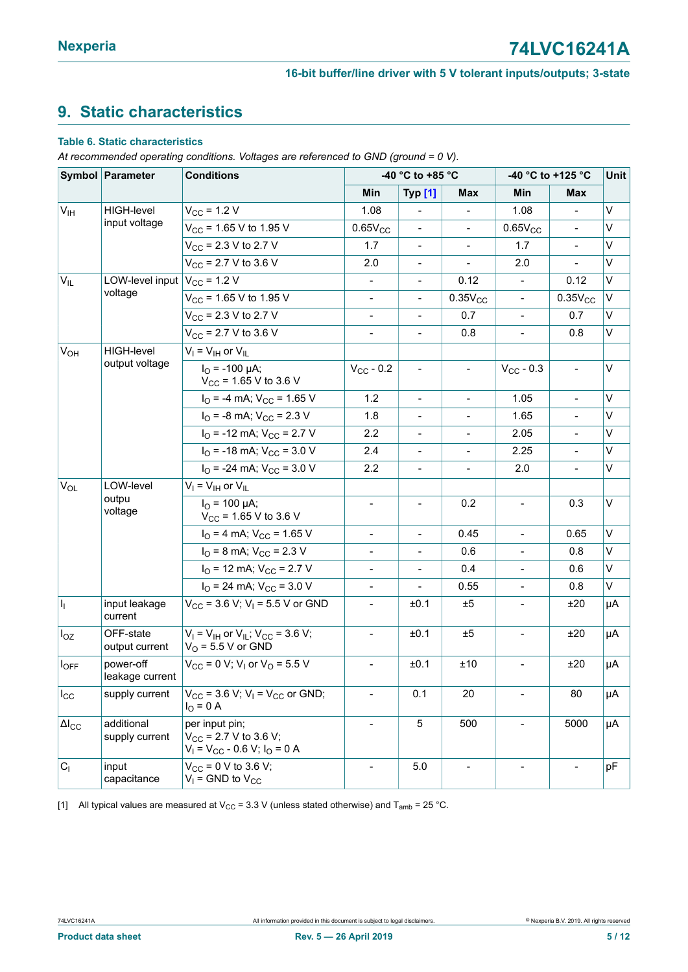## <span id="page-4-2"></span><span id="page-4-0"></span>**9. Static characteristics**

#### <span id="page-4-1"></span>**Table 6. Static characteristics**

*At recommended operating conditions. Voltages are referenced to GND (ground = 0 V).*

| Symbol Parameter    |                              | <b>Conditions</b>                                                                            |                          | -40 °C to +85 °C             |                          |                          | -40 °C to +125 °C        |         |  |
|---------------------|------------------------------|----------------------------------------------------------------------------------------------|--------------------------|------------------------------|--------------------------|--------------------------|--------------------------|---------|--|
|                     |                              |                                                                                              | Min                      | <b>Typ [1]</b>               | Max                      | Min                      | Max                      |         |  |
| V <sub>IH</sub>     | HIGH-level                   | $V_{CC}$ = 1.2 V                                                                             | 1.08                     |                              |                          | 1.08                     | $\blacksquare$           | V       |  |
|                     | input voltage                | $V_{\text{CC}}$ = 1.65 V to 1.95 V                                                           | $0.65V_{CC}$             | $\blacksquare$               | $\blacksquare$           | $0.65V_{CC}$             | $\equiv$                 | V       |  |
|                     |                              | $V_{CC}$ = 2.3 V to 2.7 V                                                                    | 1.7                      | $\overline{\phantom{0}}$     | $\overline{\phantom{a}}$ | 1.7                      | $\overline{\phantom{a}}$ | V       |  |
|                     |                              | $V_{CC}$ = 2.7 V to 3.6 V                                                                    | 2.0                      | $\blacksquare$               | $\blacksquare$           | 2.0                      | $\blacksquare$           | V       |  |
| $V_{IL}$            | LOW-level input              | $V_{\rm CC}$ = 1.2 V                                                                         | $\overline{\phantom{a}}$ | $\overline{\phantom{0}}$     | 0.12                     | $\overline{\phantom{a}}$ | 0.12                     | V       |  |
|                     | voltage                      | $V_{CC}$ = 1.65 V to 1.95 V                                                                  | $\overline{\phantom{a}}$ | $\overline{\phantom{0}}$     | $0.35V_{CC}$             | $\blacksquare$           | $0.35V_{CC}$             | V       |  |
|                     |                              | $V_{CC}$ = 2.3 V to 2.7 V                                                                    | $\overline{\phantom{a}}$ | $\overline{\phantom{0}}$     | 0.7                      | $\overline{\phantom{a}}$ | 0.7                      | V       |  |
|                     |                              | $V_{CC}$ = 2.7 V to 3.6 V                                                                    |                          | $\overline{a}$               | 0.8                      | $\blacksquare$           | 0.8                      | V       |  |
| $V_{OH}$            | <b>HIGH-level</b>            | $V_I = V_{IH}$ or $V_{IL}$                                                                   |                          |                              |                          |                          |                          |         |  |
|                     | output voltage               | $I_{\text{O}}$ = -100 µA;<br>$V_{CC}$ = 1.65 V to 3.6 V                                      | $V_{CC}$ - 0.2           | $\overline{\phantom{0}}$     |                          | $V_{CC}$ - 0.3           | $\blacksquare$           | V       |  |
|                     |                              | $IO$ = -4 mA; $VCC$ = 1.65 V                                                                 | 1.2                      | $\blacksquare$               | $\overline{\phantom{a}}$ | 1.05                     | $\overline{\phantom{a}}$ | V       |  |
|                     |                              | $I_{\text{O}}$ = -8 mA; $V_{\text{CC}}$ = 2.3 V                                              | 1.8                      | $\overline{\phantom{0}}$     |                          | 1.65                     | $\blacksquare$           | V       |  |
|                     |                              | $IO$ = -12 mA; $VCC$ = 2.7 V                                                                 | 2.2                      | $\qquad \qquad \blacksquare$ | $\overline{\phantom{m}}$ | 2.05                     | $\overline{\phantom{a}}$ | V       |  |
|                     |                              | $IO$ = -18 mA; $VCC$ = 3.0 V                                                                 | 2.4                      |                              |                          | 2.25                     |                          | V       |  |
|                     |                              | $I_{\Omega}$ = -24 mA; $V_{\text{CC}}$ = 3.0 V                                               | 2.2                      | $\overline{\phantom{a}}$     | $\overline{\phantom{a}}$ | 2.0                      | $\blacksquare$           | V       |  |
| $V_{OL}$            | LOW-level                    | $V_I = V_{IH}$ or $V_{IL}$                                                                   |                          |                              |                          |                          |                          |         |  |
|                     | outpu<br>voltage             | $I_{\Omega}$ = 100 µA;<br>$V_{CC}$ = 1.65 V to 3.6 V                                         | $\overline{\phantom{a}}$ | $\overline{\phantom{m}}$     | 0.2                      | $\blacksquare$           | 0.3                      | $\sf V$ |  |
|                     |                              | $IO$ = 4 mA; $VCC$ = 1.65 V                                                                  | $\blacksquare$           | $\overline{\phantom{a}}$     | 0.45                     | $\blacksquare$           | 0.65                     | V       |  |
|                     |                              | $I_{\text{O}}$ = 8 mA; $V_{\text{CC}}$ = 2.3 V                                               | $\overline{\phantom{a}}$ | $\frac{1}{2}$                | 0.6                      | $\overline{\phantom{a}}$ | 0.8                      | V       |  |
|                     |                              | $IO$ = 12 mA; $VCC$ = 2.7 V                                                                  | $\Box$                   |                              | 0.4                      |                          | 0.6                      | V       |  |
|                     |                              | $I_{\rm O}$ = 24 mA; $V_{\rm CC}$ = 3.0 V                                                    | $\blacksquare$           | $\overline{a}$               | 0.55                     | $\overline{\phantom{a}}$ | 0.8                      | V       |  |
| H.                  | input leakage<br>current     | $V_{CC}$ = 3.6 V; V <sub>1</sub> = 5.5 V or GND                                              |                          | ±0.1                         | ±5                       |                          | ±20                      | μA      |  |
| $I_{OZ}$            | OFF-state<br>output current  | $V_1$ = $V_{\text{IH}}$ or $V_{\text{IL}}$ ; $V_{\text{CC}}$ = 3.6 V;<br>$VO$ = 5.5 V or GND | $\overline{\phantom{a}}$ | ±0.1                         | ±5                       | $\overline{\phantom{a}}$ | ±20                      | μA      |  |
| $I_{OFF}$           | power-off<br>leakage current | $V_{CC}$ = 0 V; V <sub>1</sub> or V <sub>0</sub> = 5.5 V                                     | $\overline{\phantom{a}}$ | ±0.1                         | ±10                      | $\overline{\phantom{a}}$ | ±20                      | μA      |  |
| $I_{\rm CC}$        | supply current               | $V_{CC}$ = 3.6 V; V <sub>I</sub> = V <sub>CC</sub> or GND;<br>$I_{O} = 0 A$                  |                          | 0.1                          | 20                       |                          | 80                       | μA      |  |
| $\Delta I_{\rm CC}$ | additional<br>supply current | per input pin;<br>$V_{CC}$ = 2.7 V to 3.6 V;<br>$V_1 = V_{CC} - 0.6 V$ ; $I_0 = 0 A$         |                          | 5                            | 500                      |                          | 5000                     | μA      |  |
| C <sub>1</sub>      | input<br>capacitance         | $V_{CC}$ = 0 V to 3.6 V;<br>$V_1$ = GND to $V_{CC}$                                          |                          | 5.0                          | $\blacksquare$           |                          | $\blacksquare$           | pF      |  |

[1] All typical values are measured at V<sub>CC</sub> = 3.3 V (unless stated otherwise) and T<sub>amb</sub> = 25 °C.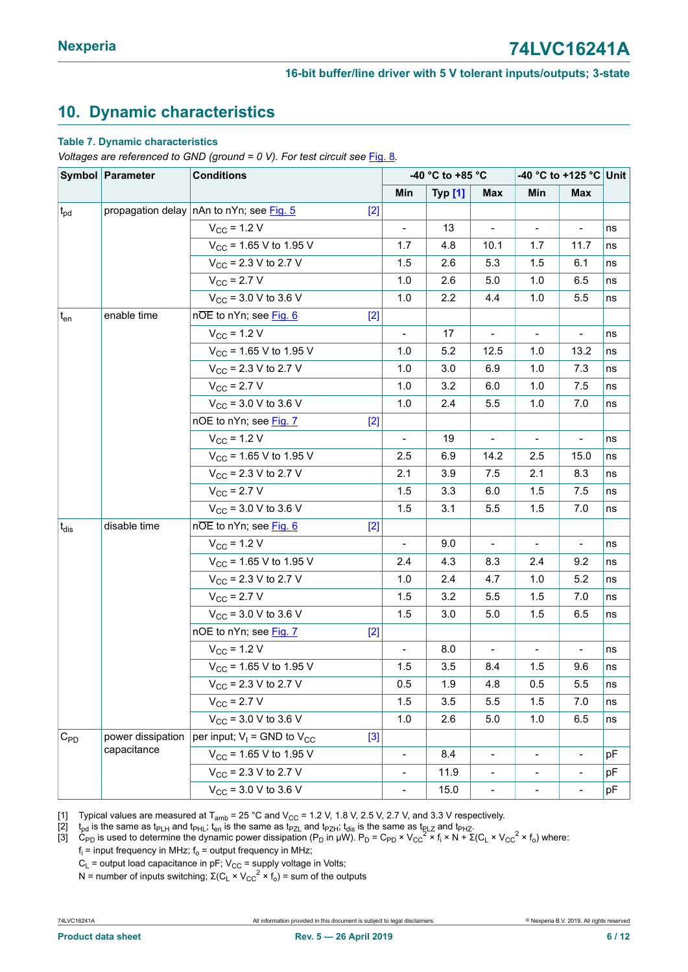## <span id="page-5-2"></span><span id="page-5-0"></span>**10. Dynamic characteristics**

#### <span id="page-5-1"></span>**Table 7. Dynamic characteristics**

*Voltages are referenced to GND (ground = 0 V). For test circuit see* [Fig. 8](#page-7-0)*.*

|                          | Symbol Parameter  | <b>Conditions</b>                               |                          | -40 °C to +85 °C |                              |                              | -40 °C to +125 °C Unit       |    |
|--------------------------|-------------------|-------------------------------------------------|--------------------------|------------------|------------------------------|------------------------------|------------------------------|----|
|                          |                   |                                                 | Min                      | <b>Typ [1]</b>   | <b>Max</b>                   | Min                          | <b>Max</b>                   |    |
| $t_{pd}$                 |                   | propagation delay nAn to nYn; see Fig. 5<br>[2] |                          |                  |                              |                              |                              |    |
|                          |                   | $V_{CC}$ = 1.2 V                                | $\frac{1}{2}$            | 13               | $\blacksquare$               |                              | $\blacksquare$               | ns |
|                          |                   | $V_{CC}$ = 1.65 V to 1.95 V                     | 1.7                      | 4.8              | 10.1                         | 1.7                          | 11.7                         | ns |
|                          |                   | $V_{CC}$ = 2.3 V to 2.7 V                       | 1.5                      | 2.6              | 5.3                          | 1.5                          | 6.1                          | ns |
|                          |                   | $V_{\text{CC}}$ = 2.7 V                         | 1.0                      | 2.6              | $5.0\,$                      | 1.0                          | 6.5                          | ns |
|                          |                   | $V_{CC}$ = 3.0 V to 3.6 V                       | 1.0                      | 2.2              | 4.4                          | 1.0                          | 5.5                          | ns |
| $t_{en}$                 | enable time       | nOE to nYn; see Fig. 6<br>$[2]$                 |                          |                  |                              |                              |                              |    |
|                          |                   | $V_{CC}$ = 1.2 V                                | $\overline{\phantom{a}}$ | 17               | $\overline{\phantom{a}}$     |                              |                              | ns |
|                          |                   | $V_{CC}$ = 1.65 V to 1.95 V                     | 1.0                      | 5.2              | 12.5                         | 1.0                          | 13.2                         | ns |
|                          |                   | $V_{CC}$ = 2.3 V to 2.7 V                       | 1.0                      | 3.0              | 6.9                          | 1.0                          | 7.3                          | ns |
|                          |                   | $V_{\rm CC}$ = 2.7 V                            | 1.0                      | 3.2              | 6.0                          | 1.0                          | 7.5                          | ns |
|                          |                   | $V_{CC}$ = 3.0 V to 3.6 V                       | 1.0                      | 2.4              | 5.5                          | 1.0                          | 7.0                          | ns |
|                          |                   | nOE to nYn; see Fig. 7<br>$[2]$                 |                          |                  |                              |                              |                              |    |
|                          |                   | $V_{CC}$ = 1.2 V                                | $\blacksquare$           | 19               |                              | $\qquad \qquad \blacksquare$ | $\qquad \qquad \blacksquare$ | ns |
|                          |                   | $V_{CC}$ = 1.65 V to 1.95 V                     | 2.5                      | 6.9              | 14.2                         | 2.5                          | 15.0                         | ns |
|                          |                   | $V_{CC}$ = 2.3 V to 2.7 V                       | 2.1                      | 3.9              | 7.5                          | 2.1                          | 8.3                          | ns |
|                          |                   | $V_{CC}$ = 2.7 V                                | 1.5                      | 3.3              | 6.0                          | 1.5                          | 7.5                          | ns |
|                          |                   | $V_{CC}$ = 3.0 V to 3.6 V                       | 1.5                      | 3.1              | 5.5                          | 1.5                          | 7.0                          | ns |
| $t_{dis}$                | disable time      | nOE to nYn; see Fig. 6<br>$[2]$                 |                          |                  |                              |                              |                              |    |
|                          |                   | $V_{\rm CC}$ = 1.2 V                            | $\overline{\phantom{a}}$ | 9.0              | $\blacksquare$               | $\overline{\phantom{a}}$     | $\overline{\phantom{a}}$     | ns |
|                          |                   | $V_{CC}$ = 1.65 V to 1.95 V                     | 2.4                      | 4.3              | 8.3                          | 2.4                          | 9.2                          | ns |
|                          |                   | $V_{CC}$ = 2.3 V to 2.7 V                       | 1.0                      | 2.4              | 4.7                          | 1.0                          | 5.2                          | ns |
|                          |                   | $V_{\text{CC}}$ = 2.7 V                         | 1.5                      | 3.2              | 5.5                          | 1.5                          | 7.0                          | ns |
|                          |                   | $V_{CC}$ = 3.0 V to 3.6 V                       | 1.5                      | 3.0              | 5.0                          | 1.5                          | 6.5                          | ns |
|                          |                   | nOE to nYn; see Fig. 7<br>$[2]$                 |                          |                  |                              |                              |                              |    |
|                          |                   | $V_{CC}$ = 1.2 V                                | $\bar{\phantom{a}}$      | 8.0              | $\blacksquare$               | $\blacksquare$               | $\blacksquare$               | ns |
|                          |                   | $V_{CC}$ = 1.65 V to 1.95 V                     | 1.5                      | 3.5              | 8.4                          | 1.5                          | 9.6                          | ns |
|                          |                   | $V_{CC}$ = 2.3 V to 2.7 V                       | 0.5                      | 1.9              | 4.8                          | 0.5                          | $5.5\,$                      | ns |
|                          |                   | $V_{CC}$ = 2.7 V                                | 1.5                      | 3.5              | 5.5                          | 1.5                          | 7.0                          | ns |
|                          |                   | $V_{CC}$ = 3.0 V to 3.6 V                       | 1.0                      | 2.6              | 5.0                          | 1.0                          | 6.5                          | ns |
| $\mathrm{C}_{\text{PD}}$ | power dissipation | per input; $V_1$ = GND to $V_{CC}$<br>$[3]$     |                          |                  |                              |                              |                              |    |
|                          | capacitance       | $V_{CC}$ = 1.65 V to 1.95 V                     | $\overline{a}$           | 8.4              |                              |                              | $\overline{\phantom{0}}$     | pF |
|                          |                   | $V_{CC}$ = 2.3 V to 2.7 V                       | $\overline{\phantom{0}}$ | 11.9             | $\blacksquare$               | $\blacksquare$               | $\overline{\phantom{a}}$     | pF |
|                          |                   | $V_{CC}$ = 3.0 V to 3.6 V                       | $\overline{\phantom{0}}$ | 15.0             | $\qquad \qquad \blacksquare$ |                              | $\overline{\phantom{a}}$     | pF |

[1] Typical values are measured at T<sub>amb</sub> = 25 °C and V<sub>CC</sub> = 1.2 V, 1.8 V, 2.5 V, 2.7 V, and 3.3 V respectively.<br>[2]  $t_{\text{pd}}$  is the same as t<sub>PLH</sub> and t<sub>PHL</sub>; t<sub>en</sub> is the same as t<sub>PZL</sub> and t<sub>PZH</sub>; t<sub>dis</sub> is the same

[2]  $t_{pd}$  is the same as t<sub>PLH</sub> and t<sub>PHL</sub>; t<sub>en</sub> is the same as t<sub>PZL</sub> and t<sub>PZH</sub>; t<sub>dis</sub> is the same as t<sub>RLZ</sub> and t<sub>PHZ</sub>.

[3]  $C_{\text{PD}}$  is used to determine the dynamic power dissipation (P<sub>D</sub> in μW). P<sub>D</sub> = C<sub>PD</sub> × V<sub>CC</sub><sup>2</sup> × f<sub>i</sub> × N +  $\Sigma$ (C<sub>L</sub> × V<sub>CC</sub><sup>2</sup> × f<sub>o</sub>) where:

 $\mathsf{f}_\mathsf{i}$  = input frequency in MHz;  $\mathsf{f}_\mathsf{o}$  = output frequency in MHz;

 $C_{L}$  = output load capacitance in pF;  $V_{CC}$  = supply voltage in Volts;

N = number of inputs switching;  $Σ(C<sub>L</sub> × V<sub>CC</sub><sup>2</sup> × f<sub>o</sub>) = sum of the outputs$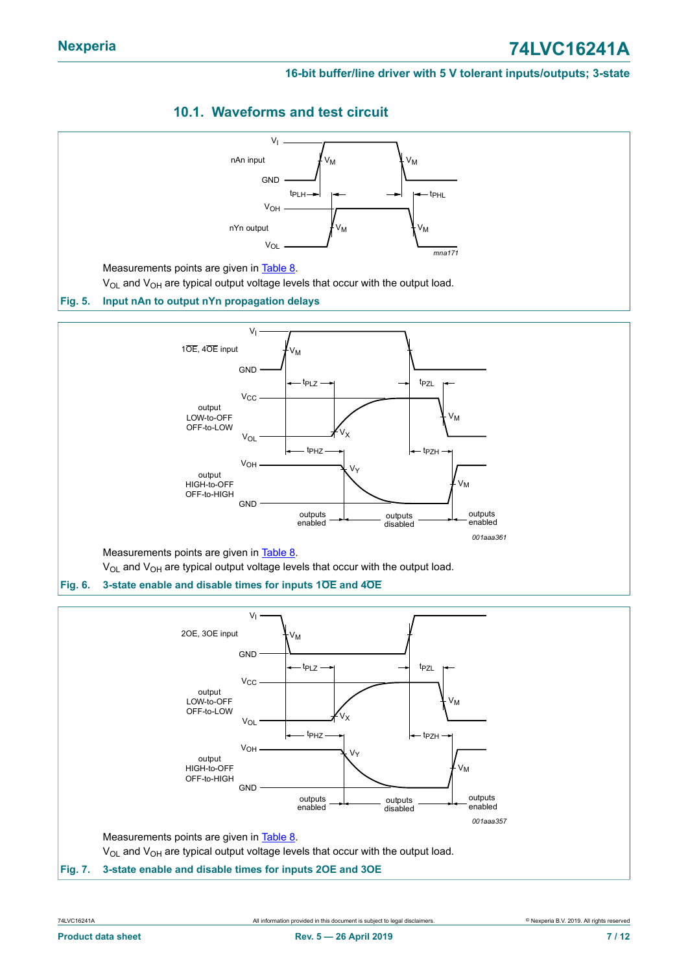## <span id="page-6-3"></span>**10.1. Waveforms and test circuit**

<span id="page-6-1"></span><span id="page-6-0"></span>

<span id="page-6-2"></span>**Fig. 7. 3-state enable and disable times for inputs 2OE and 3OE**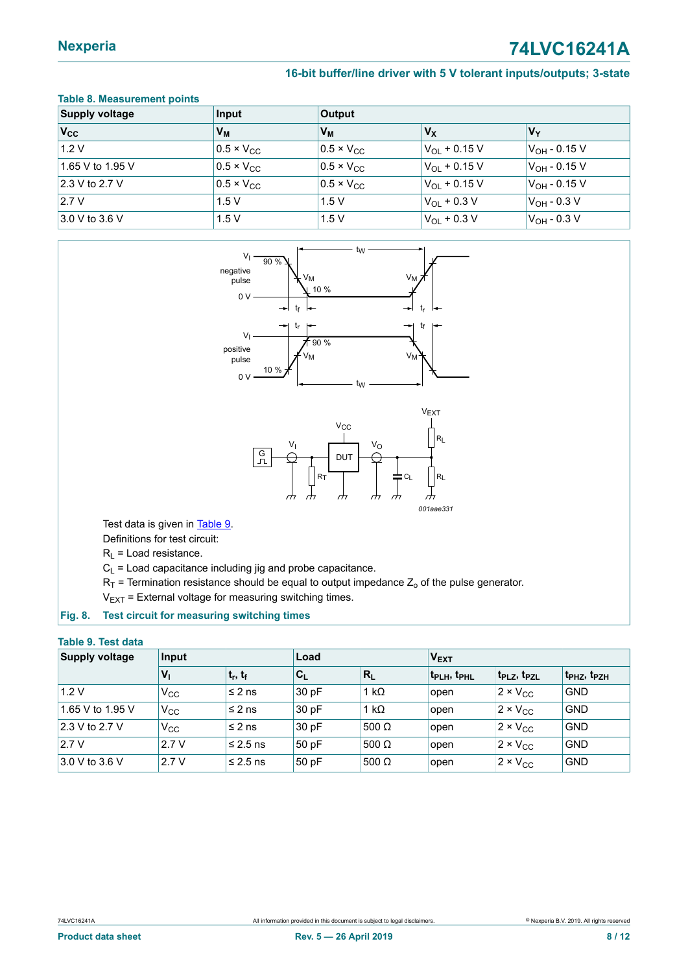## **Nexperia 74LVC16241A**

#### <span id="page-7-1"></span>**16-bit buffer/line driver with 5 V tolerant inputs/outputs; 3-state**

#### **Table 8. Measurement points**

<span id="page-7-0"></span>

| <b>Supply voltage</b> | Input                 | <b>Output</b>       |                          |                          |
|-----------------------|-----------------------|---------------------|--------------------------|--------------------------|
| $V_{\rm CC}$          | $V_{M}$               | $V_{M}$             | $V_X$                    | $V_Y$                    |
| 1.2 V                 | $ 0.5 \times V_{CC} $ | $0.5 \times V_{CC}$ | $V_{\Omega I}$ + 0.15 V  | $V_{OH}$ - 0.15 V        |
| 1.65 V to 1.95 V      | $0.5 \times V_{CC}$   | $0.5 \times V_{CC}$ | $V_{\text{OI}} + 0.15 V$ | $V_{OH}$ - 0.15 V        |
| 2.3 V to 2.7 V        | $0.5 \times V_{CC}$   | $0.5 \times V_{CC}$ | $V_{OL}$ + 0.15 V        | V <sub>OH</sub> - 0.15 V |
| 12.7V                 | 1.5V                  | 1.5V                | $V_{\Omega}$ + 0.3 V     | $V_{OH}$ - 0.3 V         |
| $3.0 V$ to 3.6 V      | 1.5V                  | 1.5V                | $ V_{OL} + 0.3 V $       | $V_{OH}$ - 0.3 V         |





Test data is given in [Table](#page-7-2) 9.

Definitions for test circuit:

 $R_1$  = Load resistance.

 $C_L$  = Load capacitance including jig and probe capacitance.

 $R_T$  = Termination resistance should be equal to output impedance  $Z_0$  of the pulse generator.

<span id="page-7-2"></span> $V_{EXT}$  = External voltage for measuring switching times.

#### **Fig. 8. Test circuit for measuring switching times**

#### **Table 9. Test data**

| <b>Supply voltage</b> | Input                     |               | Load                      |              | V <sub>EXT</sub>                    |                                     |                                     |
|-----------------------|---------------------------|---------------|---------------------------|--------------|-------------------------------------|-------------------------------------|-------------------------------------|
|                       | $\mathbf{v}_{\mathbf{I}}$ | $ t_r, t_f $  | $\mathsf{C}_{\mathsf{L}}$ | $ R_L$       | t <sub>PLH</sub> , t <sub>PHL</sub> | t <sub>PLZ</sub> , t <sub>PZL</sub> | t <sub>PHZ</sub> , t <sub>PZH</sub> |
| 1.2V                  | $V_{\rm CC}$              | l≤ 2 ns       | 30 pF                     | 1 k $\Omega$ | open                                | $2 \times V_{CC}$                   | <b>GND</b>                          |
| 1.65 V to 1.95 V      | $V_{CC}$                  | l≤ 2 ns       | 30 pF                     | 1 k $\Omega$ | open                                | $2 \times V_{CC}$                   | <b>GND</b>                          |
| 2.3 V to 2.7 V        | $V_{CC}$                  | l≤ 2 ns       | 30 pF                     | $500$ Ω      | open                                | $2 \times V_{CC}$                   | <b>GND</b>                          |
| 2.7V                  | 2.7V                      | $\leq$ 2.5 ns | 50 pF                     | $500$ Ω      | open                                | $2 \times V_{CC}$                   | <b>GND</b>                          |
| $3.0 V$ to 3.6 V      | 2.7 V                     | $\leq 2.5$ ns | 50 pF                     | 500 Ω        | open                                | $2 \times V_{CC}$                   | <b>GND</b>                          |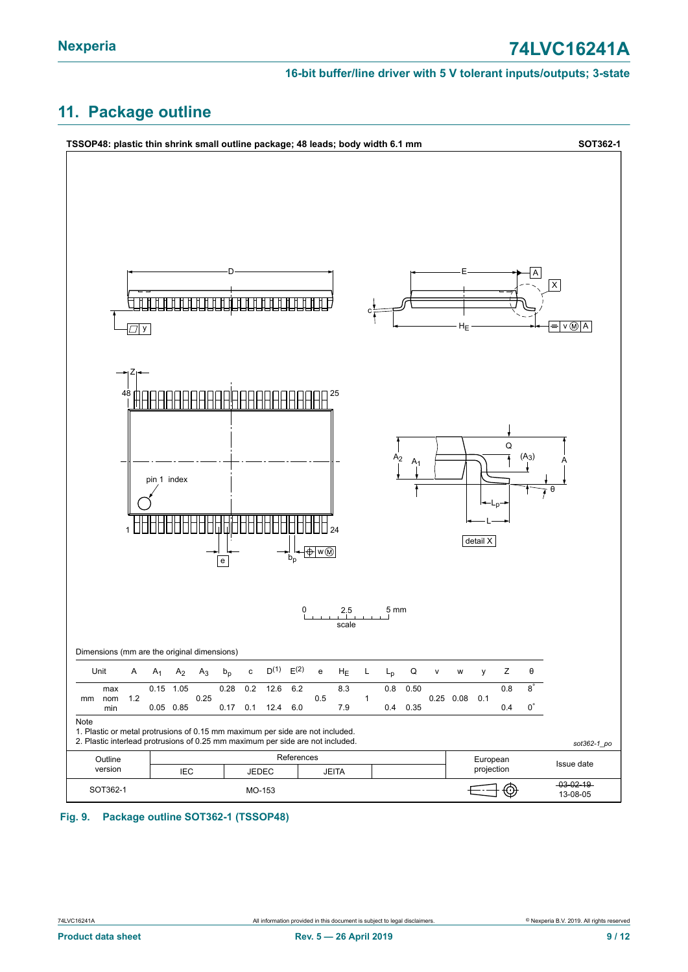## <span id="page-8-1"></span>**11. Package outline**

<span id="page-8-0"></span>

#### **Fig. 9. Package outline SOT362-1 (TSSOP48)**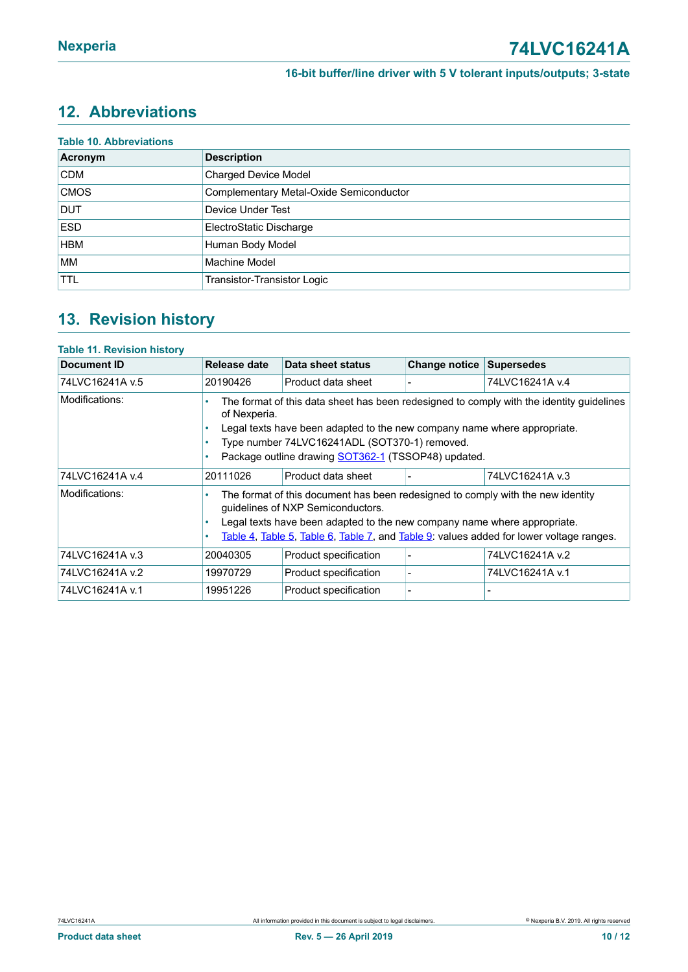## <span id="page-9-0"></span>**12. Abbreviations**

| <b>Table 10. Abbreviations</b> |                                         |  |  |  |
|--------------------------------|-----------------------------------------|--|--|--|
| Acronym                        | <b>Description</b>                      |  |  |  |
| <b>CDM</b>                     | <b>Charged Device Model</b>             |  |  |  |
| <b>CMOS</b>                    | Complementary Metal-Oxide Semiconductor |  |  |  |
| <b>DUT</b>                     | Device Under Test                       |  |  |  |
| <b>ESD</b>                     | ElectroStatic Discharge                 |  |  |  |
| <b>HBM</b>                     | Human Body Model                        |  |  |  |
| <b>MM</b>                      | Machine Model                           |  |  |  |
| <b>TTL</b>                     | Transistor-Transistor Logic             |  |  |  |

## <span id="page-9-1"></span>**13. Revision history**

#### **Table 11. Revision history**

| Document ID     | Release date                                                                                                                                                                                                                                                                                      | Data sheet status                                                                                                                                                                                                                                                                           | <b>Change notice</b> | Supersedes      |  |  |
|-----------------|---------------------------------------------------------------------------------------------------------------------------------------------------------------------------------------------------------------------------------------------------------------------------------------------------|---------------------------------------------------------------------------------------------------------------------------------------------------------------------------------------------------------------------------------------------------------------------------------------------|----------------------|-----------------|--|--|
| 74LVC16241A v.5 | 20190426                                                                                                                                                                                                                                                                                          | Product data sheet                                                                                                                                                                                                                                                                          |                      | 74LVC16241A v.4 |  |  |
| Modifications:  | The format of this data sheet has been redesigned to comply with the identity guidelines<br>of Nexperia.<br>Legal texts have been adapted to the new company name where appropriate.<br>٠<br>Type number 74LVC16241ADL (SOT370-1) removed.<br>Package outline drawing SOT362-1 (TSSOP48) updated. |                                                                                                                                                                                                                                                                                             |                      |                 |  |  |
| 74LVC16241A v.4 | 20111026                                                                                                                                                                                                                                                                                          | Product data sheet                                                                                                                                                                                                                                                                          |                      | 74LVC16241A v.3 |  |  |
| Modifications:  |                                                                                                                                                                                                                                                                                                   | The format of this document has been redesigned to comply with the new identity<br>guidelines of NXP Semiconductors.<br>Legal texts have been adapted to the new company name where appropriate.<br>Table 4, Table 5, Table 6, Table 7, and Table 9: values added for lower voltage ranges. |                      |                 |  |  |
| 74LVC16241A v.3 | 20040305                                                                                                                                                                                                                                                                                          | Product specification                                                                                                                                                                                                                                                                       |                      | 74LVC16241A v.2 |  |  |
| 74LVC16241A v.2 | 19970729                                                                                                                                                                                                                                                                                          | Product specification                                                                                                                                                                                                                                                                       |                      | 74LVC16241A v.1 |  |  |
| 74LVC16241A v.1 | 19951226                                                                                                                                                                                                                                                                                          | Product specification                                                                                                                                                                                                                                                                       |                      |                 |  |  |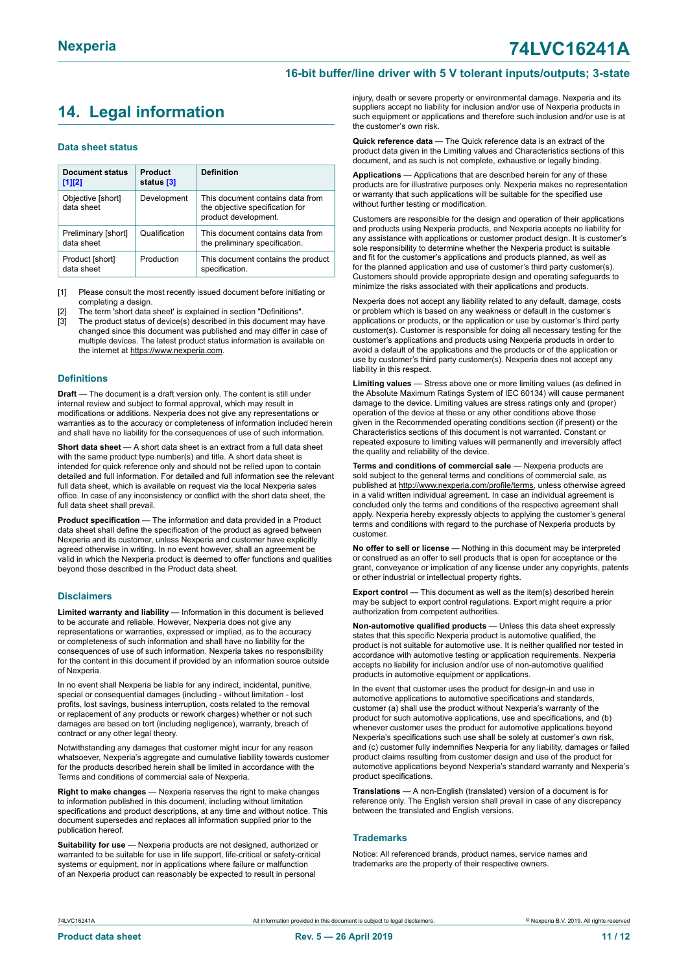## <span id="page-10-0"></span>**14. Legal information**

#### **Data sheet status**

| <b>Document status</b><br>$[1]$ [2] | Product<br>status [3] | <b>Definition</b>                                                                           |
|-------------------------------------|-----------------------|---------------------------------------------------------------------------------------------|
| Objective [short]<br>data sheet     | Development           | This document contains data from<br>the objective specification for<br>product development. |
| Preliminary [short]<br>data sheet   | Qualification         | This document contains data from<br>the preliminary specification.                          |
| Product [short]<br>data sheet       | Production            | This document contains the product<br>specification.                                        |

[1] Please consult the most recently issued document before initiating or completing a design.

- The term 'short data sheet' is explained in section "Definitions".
- [3] The product status of device(s) described in this document may have changed since this document was published and may differ in case of multiple devices. The latest product status information is available on the internet at [https://www.nexperia.com.](https://www.nexperia.com)

#### **Definitions**

**Draft** — The document is a draft version only. The content is still under internal review and subject to formal approval, which may result in modifications or additions. Nexperia does not give any representations or warranties as to the accuracy or completeness of information included herein and shall have no liability for the consequences of use of such information.

**Short data sheet** — A short data sheet is an extract from a full data sheet with the same product type number(s) and title. A short data sheet is intended for quick reference only and should not be relied upon to contain detailed and full information. For detailed and full information see the relevant full data sheet, which is available on request via the local Nexperia sales office. In case of any inconsistency or conflict with the short data sheet, the full data sheet shall prevail.

**Product specification** — The information and data provided in a Product data sheet shall define the specification of the product as agreed between Nexperia and its customer, unless Nexperia and customer have explicitly agreed otherwise in writing. In no event however, shall an agreement be valid in which the Nexperia product is deemed to offer functions and qualities beyond those described in the Product data sheet.

#### **Disclaimers**

**Limited warranty and liability** — Information in this document is believed to be accurate and reliable. However, Nexperia does not give any representations or warranties, expressed or implied, as to the accuracy or completeness of such information and shall have no liability for the consequences of use of such information. Nexperia takes no responsibility for the content in this document if provided by an information source outside of Nexperia.

In no event shall Nexperia be liable for any indirect, incidental, punitive, special or consequential damages (including - without limitation - lost profits, lost savings, business interruption, costs related to the removal or replacement of any products or rework charges) whether or not such damages are based on tort (including negligence), warranty, breach of contract or any other legal theory.

Notwithstanding any damages that customer might incur for any reason whatsoever, Nexperia's aggregate and cumulative liability towards customer for the products described herein shall be limited in accordance with the Terms and conditions of commercial sale of Nexperia.

**Right to make changes** — Nexperia reserves the right to make changes to information published in this document, including without limitation specifications and product descriptions, at any time and without notice. This document supersedes and replaces all information supplied prior to the publication hereof

**Suitability for use** — Nexperia products are not designed, authorized or warranted to be suitable for use in life support, life-critical or safety-critical systems or equipment, nor in applications where failure or malfunction of an Nexperia product can reasonably be expected to result in personal

injury, death or severe property or environmental damage. Nexperia and its suppliers accept no liability for inclusion and/or use of Nexperia products in such equipment or applications and therefore such inclusion and/or use is at the customer's own risk.

**Quick reference data** — The Quick reference data is an extract of the product data given in the Limiting values and Characteristics sections of this document, and as such is not complete, exhaustive or legally binding.

**Applications** — Applications that are described herein for any of these products are for illustrative purposes only. Nexperia makes no representation or warranty that such applications will be suitable for the specified use without further testing or modification.

Customers are responsible for the design and operation of their applications and products using Nexperia products, and Nexperia accepts no liability for any assistance with applications or customer product design. It is customer's sole responsibility to determine whether the Nexperia product is suitable and fit for the customer's applications and products planned, as well as for the planned application and use of customer's third party customer(s). Customers should provide appropriate design and operating safeguards to minimize the risks associated with their applications and products.

Nexperia does not accept any liability related to any default, damage, costs or problem which is based on any weakness or default in the customer's applications or products, or the application or use by customer's third party customer(s). Customer is responsible for doing all necessary testing for the customer's applications and products using Nexperia products in order to avoid a default of the applications and the products or of the application or use by customer's third party customer(s). Nexperia does not accept any liability in this respect.

**Limiting values** — Stress above one or more limiting values (as defined in the Absolute Maximum Ratings System of IEC 60134) will cause permanent damage to the device. Limiting values are stress ratings only and (proper) operation of the device at these or any other conditions above those given in the Recommended operating conditions section (if present) or the Characteristics sections of this document is not warranted. Constant or repeated exposure to limiting values will permanently and irreversibly affect the quality and reliability of the device.

**Terms and conditions of commercial sale** — Nexperia products are sold subject to the general terms and conditions of commercial sale, as published at [http://www.nexperia.com/profile/terms,](http://www.nexperia.com/profile/terms) unless otherwise agreed in a valid written individual agreement. In case an individual agreement is concluded only the terms and conditions of the respective agreement shall apply. Nexperia hereby expressly objects to applying the customer's general terms and conditions with regard to the purchase of Nexperia products by customer.

**No offer to sell or license** — Nothing in this document may be interpreted or construed as an offer to sell products that is open for acceptance or the grant, conveyance or implication of any license under any copyrights, patents or other industrial or intellectual property rights.

**Export control** — This document as well as the item(s) described herein may be subject to export control regulations. Export might require a prior authorization from competent authorities.

**Non-automotive qualified products** — Unless this data sheet expressly states that this specific Nexperia product is automotive qualified, the product is not suitable for automotive use. It is neither qualified nor tested in accordance with automotive testing or application requirements. Nexperia accepts no liability for inclusion and/or use of non-automotive qualified products in automotive equipment or applications.

In the event that customer uses the product for design-in and use in automotive applications to automotive specifications and standards, customer (a) shall use the product without Nexperia's warranty of the product for such automotive applications, use and specifications, and (b) whenever customer uses the product for automotive applications beyond Nexperia's specifications such use shall be solely at customer's own risk, and (c) customer fully indemnifies Nexperia for any liability, damages or failed product claims resulting from customer design and use of the product for automotive applications beyond Nexperia's standard warranty and Nexperia's product specifications.

**Translations** — A non-English (translated) version of a document is for reference only. The English version shall prevail in case of any discrepancy between the translated and English versions.

#### **Trademarks**

Notice: All referenced brands, product names, service names and trademarks are the property of their respective owners.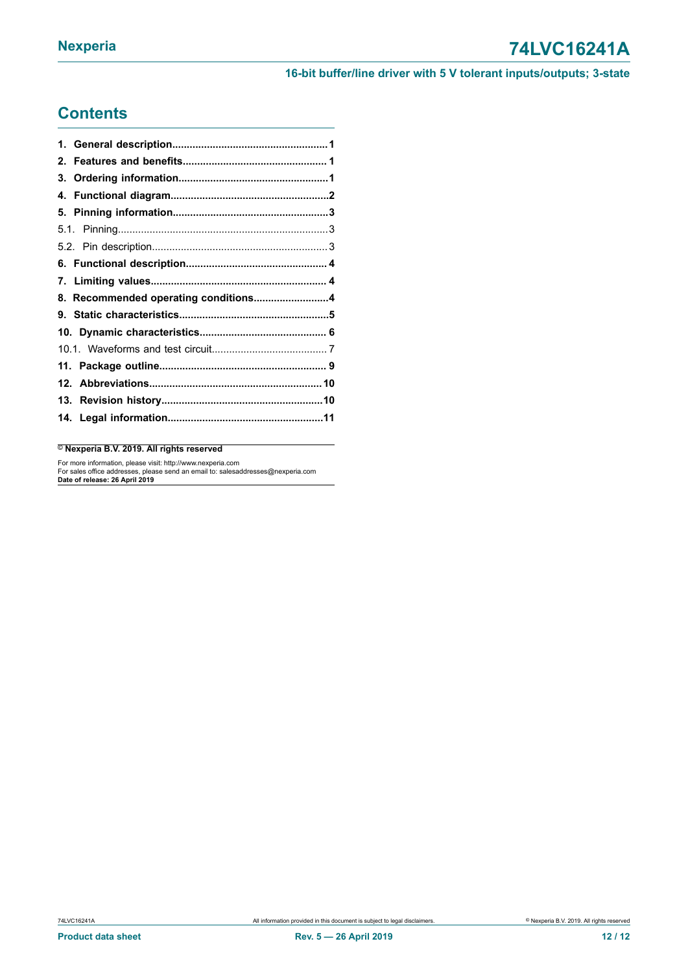## **Contents**

| 8. Recommended operating conditions4 |  |
|--------------------------------------|--|
|                                      |  |
|                                      |  |
|                                      |  |
|                                      |  |
|                                      |  |
|                                      |  |
|                                      |  |
|                                      |  |

© **Nexperia B.V. 2019. All rights reserved**

For more information, please visit: http://www.nexperia.com For sales office addresses, please send an email to: salesaddresses@nexperia.com **Date of release: 26 April 2019**